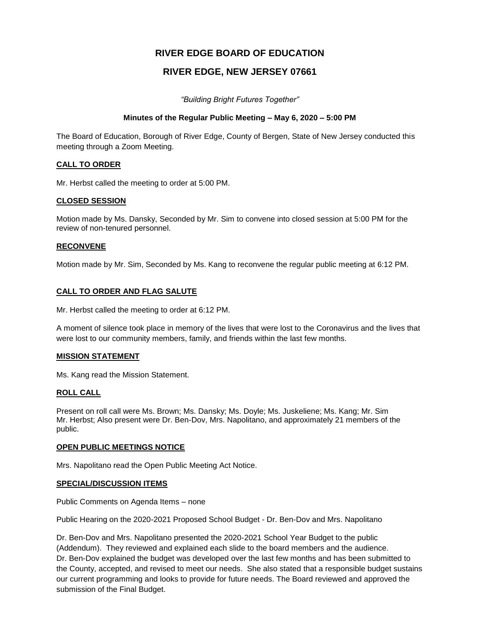# **RIVER EDGE BOARD OF EDUCATION**

# **RIVER EDGE, NEW JERSEY 07661**

*"Building Bright Futures Together"*

#### **Minutes of the Regular Public Meeting – May 6, 2020 – 5:00 PM**

The Board of Education, Borough of River Edge, County of Bergen, State of New Jersey conducted this meeting through a Zoom Meeting.

#### **CALL TO ORDER**

Mr. Herbst called the meeting to order at 5:00 PM.

#### **CLOSED SESSION**

Motion made by Ms. Dansky, Seconded by Mr. Sim to convene into closed session at 5:00 PM for the review of non-tenured personnel.

#### **RECONVENE**

Motion made by Mr. Sim, Seconded by Ms. Kang to reconvene the regular public meeting at 6:12 PM.

#### **CALL TO ORDER AND FLAG SALUTE**

Mr. Herbst called the meeting to order at 6:12 PM.

A moment of silence took place in memory of the lives that were lost to the Coronavirus and the lives that were lost to our community members, family, and friends within the last few months.

#### **MISSION STATEMENT**

Ms. Kang read the Mission Statement.

#### **ROLL CALL**

Present on roll call were Ms. Brown; Ms. Dansky; Ms. Doyle; Ms. Juskeliene; Ms. Kang; Mr. Sim Mr. Herbst; Also present were Dr. Ben-Dov, Mrs. Napolitano, and approximately 21 members of the public.

#### **OPEN PUBLIC MEETINGS NOTICE**

Mrs. Napolitano read the Open Public Meeting Act Notice.

#### **SPECIAL/DISCUSSION ITEMS**

Public Comments on Agenda Items – none

Public Hearing on the 2020-2021 Proposed School Budget - Dr. Ben-Dov and Mrs. Napolitano

Dr. Ben-Dov and Mrs. Napolitano presented the 2020-2021 School Year Budget to the public (Addendum). They reviewed and explained each slide to the board members and the audience. Dr. Ben-Dov explained the budget was developed over the last few months and has been submitted to the County, accepted, and revised to meet our needs. She also stated that a responsible budget sustains our current programming and looks to provide for future needs. The Board reviewed and approved the submission of the Final Budget.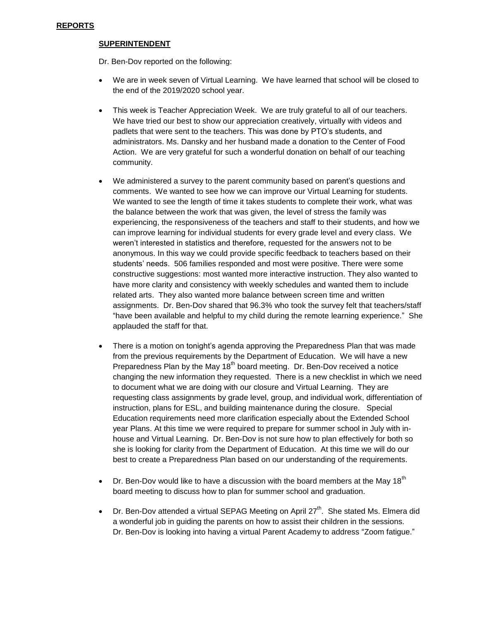#### **SUPERINTENDENT**

Dr. Ben-Dov reported on the following:

- We are in week seven of Virtual Learning. We have learned that school will be closed to the end of the 2019/2020 school year.
- This week is Teacher Appreciation Week. We are truly grateful to all of our teachers. We have tried our best to show our appreciation creatively, virtually with videos and padlets that were sent to the teachers. This was done by PTO's students, and administrators. Ms. Dansky and her husband made a donation to the Center of Food Action. We are very grateful for such a wonderful donation on behalf of our teaching community.
- We administered a survey to the parent community based on parent's questions and comments. We wanted to see how we can improve our Virtual Learning for students. We wanted to see the length of time it takes students to complete their work, what was the balance between the work that was given, the level of stress the family was experiencing, the responsiveness of the teachers and staff to their students, and how we can improve learning for individual students for every grade level and every class. We weren't interested in statistics and therefore, requested for the answers not to be anonymous. In this way we could provide specific feedback to teachers based on their students' needs. 506 families responded and most were positive. There were some constructive suggestions: most wanted more interactive instruction. They also wanted to have more clarity and consistency with weekly schedules and wanted them to include related arts. They also wanted more balance between screen time and written assignments. Dr. Ben-Dov shared that 96.3% who took the survey felt that teachers/staff "have been available and helpful to my child during the remote learning experience." She applauded the staff for that.
- There is a motion on tonight's agenda approving the Preparedness Plan that was made from the previous requirements by the Department of Education. We will have a new Preparedness Plan by the May  $18<sup>th</sup>$  board meeting. Dr. Ben-Dov received a notice changing the new information they requested. There is a new checklist in which we need to document what we are doing with our closure and Virtual Learning. They are requesting class assignments by grade level, group, and individual work, differentiation of instruction, plans for ESL, and building maintenance during the closure. Special Education requirements need more clarification especially about the Extended School year Plans. At this time we were required to prepare for summer school in July with inhouse and Virtual Learning. Dr. Ben-Dov is not sure how to plan effectively for both so she is looking for clarity from the Department of Education. At this time we will do our best to create a Preparedness Plan based on our understanding of the requirements.
- Dr. Ben-Dov would like to have a discussion with the board members at the May 18<sup>th</sup> board meeting to discuss how to plan for summer school and graduation.
- Dr. Ben-Dov attended a virtual SEPAG Meeting on April 27<sup>th</sup>. She stated Ms. Elmera did a wonderful job in guiding the parents on how to assist their children in the sessions. Dr. Ben-Dov is looking into having a virtual Parent Academy to address "Zoom fatigue."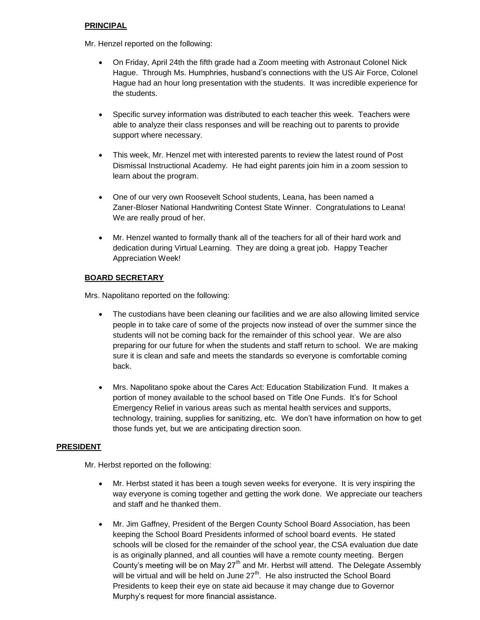## **PRINCIPAL**

Mr. Henzel reported on the following:

- On Friday, April 24th the fifth grade had a Zoom meeting with Astronaut Colonel Nick Hague. Through Ms. Humphries, husband's connections with the US Air Force, Colonel Hague had an hour long presentation with the students. It was incredible experience for the students.
- Specific survey information was distributed to each teacher this week. Teachers were able to analyze their class responses and will be reaching out to parents to provide support where necessary.
- This week, Mr. Henzel met with interested parents to review the latest round of Post Dismissal Instructional Academy. He had eight parents join him in a zoom session to learn about the program.
- One of our very own Roosevelt School students, Leana, has been named a Zaner-Bloser National Handwriting Contest State Winner. Congratulations to Leana! We are really proud of her.
- Mr. Henzel wanted to formally thank all of the teachers for all of their hard work and dedication during Virtual Learning. They are doing a great job. Happy Teacher Appreciation Week!

## **BOARD SECRETARY**

Mrs. Napolitano reported on the following:

- The custodians have been cleaning our facilities and we are also allowing limited service people in to take care of some of the projects now instead of over the summer since the students will not be coming back for the remainder of this school year. We are also preparing for our future for when the students and staff return to school. We are making sure it is clean and safe and meets the standards so everyone is comfortable coming back.
- Mrs. Napolitano spoke about the Cares Act: Education Stabilization Fund. It makes a portion of money available to the school based on Title One Funds. It's for School Emergency Relief in various areas such as mental health services and supports, technology, training, supplies for sanitizing, etc. We don't have information on how to get those funds yet, but we are anticipating direction soon.

## **PRESIDENT**

Mr. Herbst reported on the following:

- Mr. Herbst stated it has been a tough seven weeks for everyone. It is very inspiring the way everyone is coming together and getting the work done. We appreciate our teachers and staff and he thanked them.
- Mr. Jim Gaffney, President of the Bergen County School Board Association, has been keeping the School Board Presidents informed of school board events. He stated schools will be closed for the remainder of the school year, the CSA evaluation due date is as originally planned, and all counties will have a remote county meeting. Bergen County's meeting will be on May  $27<sup>th</sup>$  and Mr. Herbst will attend. The Delegate Assembly will be virtual and will be held on June  $27<sup>th</sup>$ . He also instructed the School Board Presidents to keep their eye on state aid because it may change due to Governor Murphy's request for more financial assistance.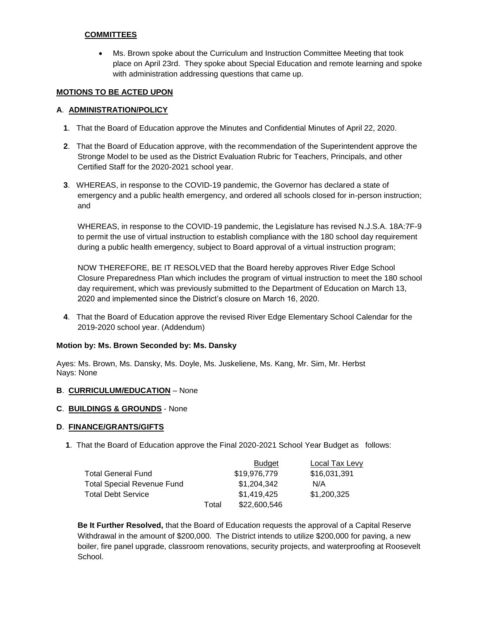### **COMMITTEES**

 Ms. Brown spoke about the Curriculum and Instruction Committee Meeting that took place on April 23rd. They spoke about Special Education and remote learning and spoke with administration addressing questions that came up.

#### **MOTIONS TO BE ACTED UPON**

#### **A**. **ADMINISTRATION/POLICY**

- **1**. That the Board of Education approve the Minutes and Confidential Minutes of April 22, 2020.
- **2**. That the Board of Education approve, with the recommendation of the Superintendent approve the Stronge Model to be used as the District Evaluation Rubric for Teachers, Principals, and other Certified Staff for the 2020-2021 school year.
- **3**. WHEREAS, in response to the COVID-19 pandemic, the Governor has declared a state of emergency and a public health emergency, and ordered all schools closed for in-person instruction; and

WHEREAS, in response to the COVID-19 pandemic, the Legislature has revised N.J.S.A. 18A:7F-9 to permit the use of virtual instruction to establish compliance with the 180 school day requirement during a public health emergency, subject to Board approval of a virtual instruction program;

NOW THEREFORE, BE IT RESOLVED that the Board hereby approves River Edge School Closure Preparedness Plan which includes the program of virtual instruction to meet the 180 school day requirement, which was previously submitted to the Department of Education on March 13, 2020 and implemented since the District's closure on March 16, 2020.

**4**. That the Board of Education approve the revised River Edge Elementary School Calendar for the 2019-2020 school year. (Addendum)

#### **Motion by: Ms. Brown Seconded by: Ms. Dansky**

Ayes: Ms. Brown, Ms. Dansky, Ms. Doyle, Ms. Juskeliene, Ms. Kang, Mr. Sim, Mr. Herbst Nays: None

#### **B**. **CURRICULUM/EDUCATION** – None

#### **C**. **BUILDINGS & GROUNDS** - None

#### **D**. **FINANCE/GRANTS/GIFTS**

**1**. That the Board of Education approve the Final 2020-2021 School Year Budget as follows:

|                            |       | <b>Budget</b> | Local Tax Levy |
|----------------------------|-------|---------------|----------------|
| Total General Fund         |       | \$19,976,779  | \$16,031,391   |
| Total Special Revenue Fund |       | \$1,204,342   | N/A            |
| Total Debt Service         |       | \$1,419,425   | \$1,200,325    |
|                            | Total | \$22,600,546  |                |

**Be It Further Resolved,** that the Board of Education requests the approval of a Capital Reserve Withdrawal in the amount of \$200,000. The District intends to utilize \$200,000 for paving, a new boiler, fire panel upgrade, classroom renovations, security projects, and waterproofing at Roosevelt School.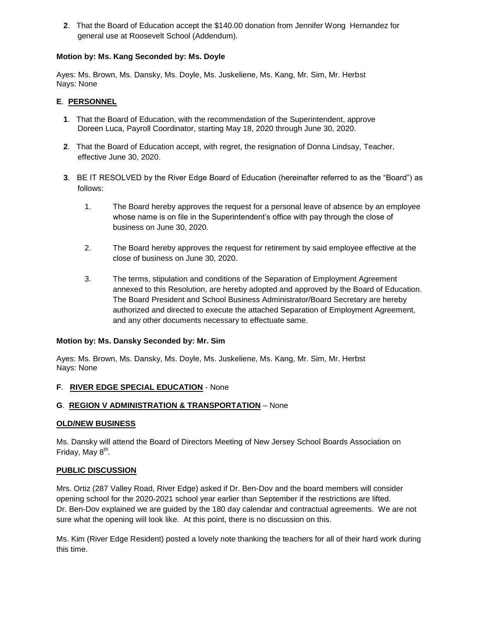**2**. That the Board of Education accept the \$140.00 donation from Jennifer Wong Hernandez for general use at Roosevelt School (Addendum).

## **Motion by: Ms. Kang Seconded by: Ms. Doyle**

Ayes: Ms. Brown, Ms. Dansky, Ms. Doyle, Ms. Juskeliene, Ms. Kang, Mr. Sim, Mr. Herbst Nays: None

#### **E**. **PERSONNEL**

- **1**. That the Board of Education, with the recommendation of the Superintendent, approve Doreen Luca, Payroll Coordinator, starting May 18, 2020 through June 30, 2020.
- **2**. That the Board of Education accept, with regret, the resignation of Donna Lindsay, Teacher, effective June 30, 2020.
- **3**. BE IT RESOLVED by the River Edge Board of Education (hereinafter referred to as the "Board") as follows:
	- 1. The Board hereby approves the request for a personal leave of absence by an employee whose name is on file in the Superintendent's office with pay through the close of business on June 30, 2020.
	- 2. The Board hereby approves the request for retirement by said employee effective at the close of business on June 30, 2020.
	- 3. The terms, stipulation and conditions of the Separation of Employment Agreement annexed to this Resolution, are hereby adopted and approved by the Board of Education. The Board President and School Business Administrator/Board Secretary are hereby authorized and directed to execute the attached Separation of Employment Agreement, and any other documents necessary to effectuate same.

#### **Motion by: Ms. Dansky Seconded by: Mr. Sim**

Ayes: Ms. Brown, Ms. Dansky, Ms. Doyle, Ms. Juskeliene, Ms. Kang, Mr. Sim, Mr. Herbst Nays: None

## **F**. **RIVER EDGE SPECIAL EDUCATION** - None

## **G**. **REGION V ADMINISTRATION & TRANSPORTATION** – None

#### **OLD/NEW BUSINESS**

Ms. Dansky will attend the Board of Directors Meeting of New Jersey School Boards Association on Friday, May 8<sup>th</sup>.

#### **PUBLIC DISCUSSION**

Mrs. Ortiz (287 Valley Road, River Edge) asked if Dr. Ben-Dov and the board members will consider opening school for the 2020-2021 school year earlier than September if the restrictions are lifted. Dr. Ben-Dov explained we are guided by the 180 day calendar and contractual agreements. We are not sure what the opening will look like. At this point, there is no discussion on this.

Ms. Kim (River Edge Resident) posted a lovely note thanking the teachers for all of their hard work during this time.